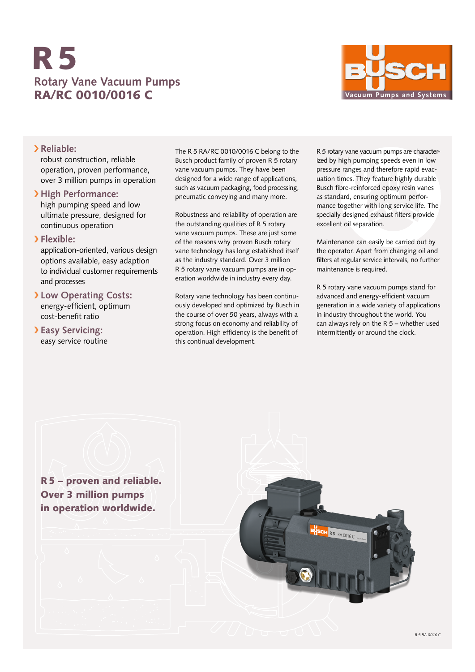# **Rotary Vane Vacuum Pumps** RA/RC 0010/0016 C R5



### › **Reliable:**

robust construction, reliable operation, proven performance, over 3 million pumps in operation

# › **High Performance:**

high pumping speed and low ultimate pressure, designed for continuous operation

## › **Flexible:**

application-oriented, various design options available, easy adaption to individual customer requirements and processes

# › **Low Operating Costs:**

energy-efficient, optimum cost-benefit ratio

# › **Easy Servicing:** easy service routine

The R 5 RA/RC 0010/0016 C belong to the Busch product family of proven R 5 rotary vane vacuum pumps. They have been designed for a wide range of applications, such as vacuum packaging, food processing, pneumatic conveying and many more.

Robustness and reliability of operation are the outstanding qualities of R 5 rotary vane vacuum pumps. These are just some of the reasons why proven Busch rotary vane technology has long established itself as the industry standard. Over 3 million R 5 rotary vane vacuum pumps are in operation worldwide in industry every day.

Rotary vane technology has been continuously developed and optimized by Busch in the course of over 50 years, always with a strong focus on economy and reliability of operation. High efficiency is the benefit of this continual development.

R 5 rotary vane vacuum pumps are characterized by high pumping speeds even in low pressure ranges and therefore rapid evacuation times. They feature highly durable Busch fibre-reinforced epoxy resin vanes as standard, ensuring optimum performance together with long service life. The specially designed exhaust filters provide excellent oil separation.

Maintenance can easily be carried out by the operator. Apart from changing oil and filters at regular service intervals, no further maintenance is required.

R 5 rotary vane vacuum pumps stand for advanced and energy-efficient vacuum generation in a wide variety of applications in industry throughout the world. You can always rely on the R 5 – whether used intermittently or around the clock.

R5 – proven and reliable. Over 3 million pumps in operation worldwide.